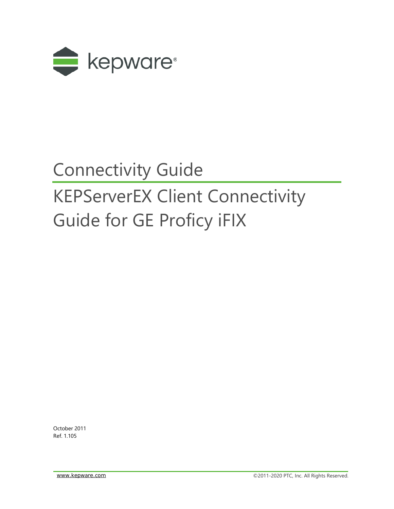

## Connectivity Guide

# KEPServerEX Client Connectivity Guide for GE Proficy iFIX

October 2011 Ref. 1.105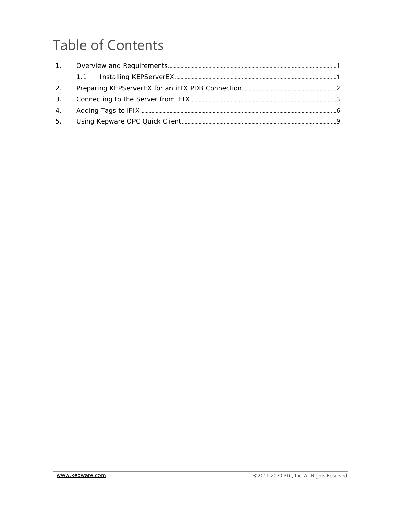## **Table of Contents**

| 2 <sub>1</sub> |  |
|----------------|--|
|                |  |
|                |  |
| 5.             |  |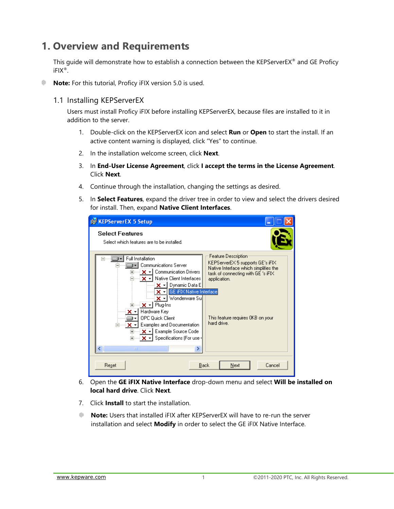## <span id="page-2-0"></span>**1. Overview and Requirements**

This guide will demonstrate how to establish a connection between the KEPServerEX® and GE Proficy iFIX®.

**Note:** For this tutorial, Proficy iFIX version 5.0 is used.

#### <span id="page-2-1"></span>1.1 Installing KEPServerEX

Users must install Proficy iFIX before installing KEPServerEX, because files are installed to it in addition to the server.

- 1. Double-click on the KEPServerEX icon and select **Run** or **Open** to start the install. If an active content warning is displayed, click "Yes" to continue.
- 2. In the installation welcome screen, click **Next**.
- 3. In **End-User License Agreement**, click **I accept the terms in the License Agreement**. Click **Next**.
- 4. Continue through the installation, changing the settings as desired.
- 5. In **Select Features**, expand the driver tree in order to view and select the drivers desired for install. Then, expand **Native Client Interfaces**.

| <b>IN KEPServerEX 5 Setup</b>                                                                                                                                                                             |                                                                                                                                                        |
|-----------------------------------------------------------------------------------------------------------------------------------------------------------------------------------------------------------|--------------------------------------------------------------------------------------------------------------------------------------------------------|
| <b>Select Features</b><br>Select which features are to be installed.                                                                                                                                      |                                                                                                                                                        |
| Full Installation<br><b>Communications Server</b><br>⊞—⊟ X → I Communication Drivers<br>Native Client Interfaces<br>⊐— x - i<br>$\mathsf{X}$ -   Dynamic Data E <br>$\times$ - GE iFIX Native Interface   | Feature Description<br>KEPServerEX 5 supports GE's iFIX<br>Native Interface which simplifies the<br>task of connecting with GE 's iFIX<br>application. |
| └──॑ ✕ +l Wonderware Sul<br>i∃……i <b>x → I</b> Plug-Ins<br>Hardware Key<br>OPC Quick Client<br>Examples and Documentation<br>×<br>मे— <mark>X -</mark> Example Source Code<br>∣ Specifications (For use i | This feature requires OKB on your<br>hard drive.                                                                                                       |
| ↵<br>ШI                                                                                                                                                                                                   |                                                                                                                                                        |
| Reset                                                                                                                                                                                                     | Cancel<br>Back<br>Next                                                                                                                                 |

- 6. Open the **GE iFIX Native Interface** drop-down menu and select **Will be installed on local hard drive**. Click **Next**.
- 7. Click **Install** to start the installation.
- **Note:** Users that installed iFIX after KEPServerEX will have to re-run the server installation and select **Modify** in order to select the GE iFIX Native Interface.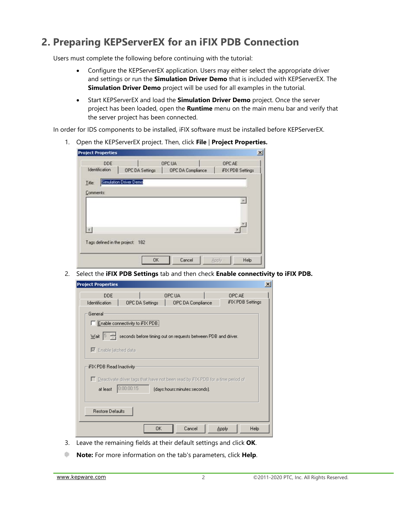## <span id="page-3-0"></span>**2. Preparing KEPServerEX for an iFIX PDB Connection**

Users must complete the following before continuing with the tutorial:

- Configure the KEPServerEX application. Users may either select the appropriate driver and settings or run the **Simulation Driver Demo** that is included with KEPServerEX. The **Simulation Driver Demo** project will be used for all examples in the tutorial.
- Start KEPServerEX and load the **Simulation Driver Demo** project. Once the server project has been loaded, open the **Runtime** menu on the main menu bar and verify that the server project has been connected.

In order for IDS components to be installed, iFIX software must be installed before KEPServerEX.

1. Open the KEPServerEX project. Then, click **File** | **Project Properties.**

| <b>Project Properties</b>       |                        |                   |                         |
|---------------------------------|------------------------|-------------------|-------------------------|
| DDE                             |                        | OPC UA            | OPC AE                  |
| Identification                  | <b>OPC DA Settings</b> | OPC DA Compliance | <b>FIX PDB Settings</b> |
| Title:                          | Simulation Driver Demo |                   |                         |
| Comments:                       |                        |                   |                         |
|                                 |                        |                   | ×                       |
|                                 |                        |                   |                         |
|                                 |                        |                   |                         |
| ×Г                              |                        |                   |                         |
| Tags defined in the project 182 |                        |                   |                         |
|                                 |                        |                   |                         |
|                                 |                        |                   |                         |

2. Select the **iFIX PDB Settings** tab and then check **Enable connectivity to iFIX PDB.**

| <b>Project Properties</b>    |                                                                                   |                               |              | $\vert x \vert$   |  |  |  |  |  |
|------------------------------|-----------------------------------------------------------------------------------|-------------------------------|--------------|-------------------|--|--|--|--|--|
| <b>DDE</b>                   |                                                                                   | OPC UA                        | OPC AE       | iFIX PDB Settings |  |  |  |  |  |
| Identification<br>General    | <b>OPC DA Settings</b>                                                            | OPC DA Compliance             |              |                   |  |  |  |  |  |
|                              | Enable connectivity to iFIX PDB.                                                  |                               |              |                   |  |  |  |  |  |
| Mait [5 - 슬                  | seconds before timing out on requests between PDB and driver.                     |                               |              |                   |  |  |  |  |  |
| $\nabla$ Enable latched data |                                                                                   |                               |              |                   |  |  |  |  |  |
|                              | iFIX PDB Read Inactivity                                                          |                               |              |                   |  |  |  |  |  |
|                              | □ Deactivate driver tags that have not been read by iFIX PDB for a time period of |                               |              |                   |  |  |  |  |  |
| at least                     | 0:00:00:15                                                                        | (days:hours:minutes:seconds). |              |                   |  |  |  |  |  |
| Restore Defaults             |                                                                                   |                               |              |                   |  |  |  |  |  |
|                              |                                                                                   |                               |              |                   |  |  |  |  |  |
|                              | 0K                                                                                | Cancel                        | <b>Apply</b> | Help              |  |  |  |  |  |

- 3. Leave the remaining fields at their default settings and click **OK**.
- ۰ **Note:** For more information on the tab's parameters, click **Help**.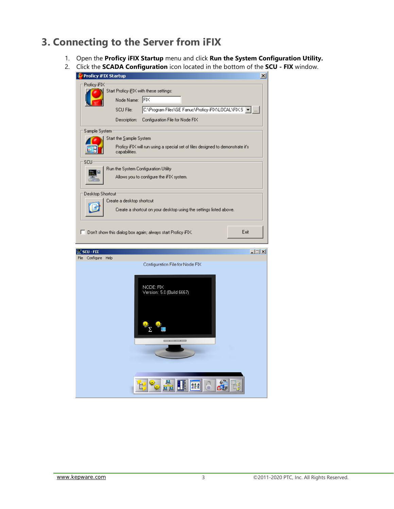### <span id="page-4-0"></span>**3. Connecting to the Server from iFIX**

- 1. Open the **Proficy iFIX Startup** menu and click **Run the System Configuration Utility.**
- 2. Click the **SCADA Configuration** icon located in the bottom of the **SCU - FIX** window.

| Proficy iFIX Startup                                      | $\vert x \vert$                                                                                                     |
|-----------------------------------------------------------|---------------------------------------------------------------------------------------------------------------------|
| Proficy iFIX:<br>Node Name:<br>SCU File:                  | Start Proficy iEIX with these settings:<br>$ F $ $\times$<br>C:\Program Files\GE Fanuc\Proficy iFIX\LOCAL\FIX.S   - |
| Description:                                              | Configuration File for Node FIX                                                                                     |
| Sample System<br>Start the Sample System<br>capabilities. | Proficy iFIX will run using a special set of files designed to demonstrate it's                                     |
| SCU                                                       | Run the System Configuration Utility<br>Allows you to configure the iFIX system.                                    |
| Desktop Shortcut:                                         | Create a desktop shortcut<br>Create a shortcut on your desktop using the settings listed above.                     |
|                                                           | Exit<br>$\Box$ Don't show this dialog box again; always start Proficy iFIX.                                         |
| <b>SCU - FIX</b><br>Configure<br>Help<br>File             | $\Box$                                                                                                              |
|                                                           | Confiquration File for Node FIX                                                                                     |
|                                                           | NODE: FIX<br>Version: 5.0 (Build 6667)                                                                              |
|                                                           | 음음을<br><u>4</u> 2 호                                                                                                 |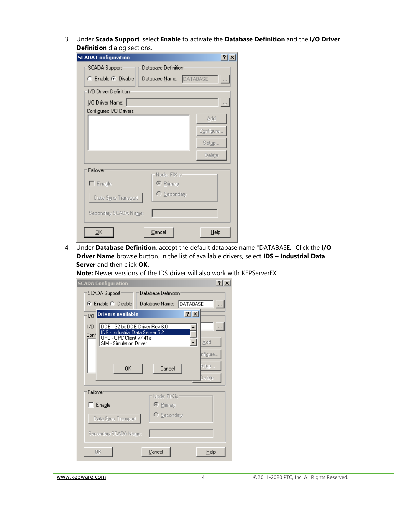3. Under **Scada Support**, select **Enable** to activate the **Database Definition** and the **I/O Driver Definition** dialog sections.

| <b>SCADA Configuration</b>                            | $\left  \cdot \right $ |
|-------------------------------------------------------|------------------------|
| Database Definition:<br>SCADA Support                 |                        |
| Database Name: DATABASE<br>C Enable C Disable         | $\bar{\mathcal{L}}$    |
| 1/0 Driver Definition                                 |                        |
| [/O Driver Name:                                      |                        |
| Configured I/O Drivers                                |                        |
|                                                       | Add                    |
|                                                       | Configure              |
|                                                       | Setup                  |
|                                                       | Delete                 |
| Failover                                              |                        |
| Node: FIX is:<br>$\Gamma$ Enable<br>$\bullet$ Primary |                        |
| C Secondary<br>Data Sync Transport                    |                        |
| Secondary SCADA Name:                                 |                        |
| ōκ<br>Cancel                                          | Help                   |

4. Under **Database Definition**, accept the default database name "DATABASE." Click the **I/O Driver Name** browse button. In the list of available drivers, select **IDS – Industrial Data Server** and then click **OK.**

**Note:** Newer versions of the IDS driver will also work with KEPServerEX.

| $ ?  \times$<br><b>SCADA Configuration</b>                                                                                                      |  |
|-------------------------------------------------------------------------------------------------------------------------------------------------|--|
| SCADA Support<br>Database Definition                                                                                                            |  |
| DATABASE<br>⊙ Enable © Disable<br>Database <u>N</u> ame:                                                                                        |  |
| 2x<br>Drivers available<br>I/O                                                                                                                  |  |
| DDE - 32-bit DDE Driver Rev 6.0<br>170<br>IDS - Industrial Data Server 5.2<br>Conf<br>OPC - OPC Client v7.41a<br>Add<br>SIM - Simulation Driver |  |
| nfigure<br>etup<br>Cancel<br>0K<br>Delete                                                                                                       |  |
| Failover<br>Node: FIX is:                                                                                                                       |  |
| ⊙ Primary<br>$\Box$ Enable                                                                                                                      |  |
| C Secondary<br>Data Sync Transport                                                                                                              |  |
| Secondary SCADA Name:                                                                                                                           |  |
| Cancel<br>0K<br>Help                                                                                                                            |  |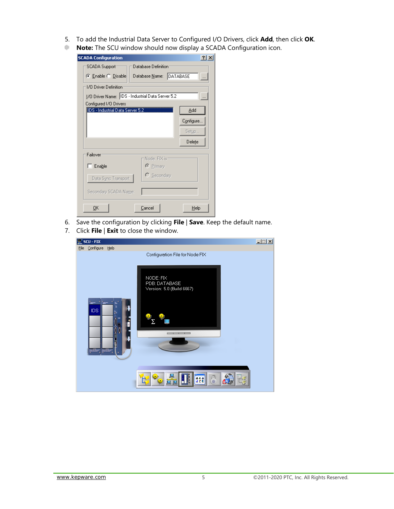- 5. To add the Industrial Data Server to Configured I/O Drivers, click **Add**, then click **OK**.
- **Note:** The SCU window should now display a SCADA Configuration icon.

| <b>SCADA Configuration</b>                                                 | $ ?  \times  $ |  |  |  |  |  |  |  |
|----------------------------------------------------------------------------|----------------|--|--|--|--|--|--|--|
| Database Definition<br>SCADA Support                                       |                |  |  |  |  |  |  |  |
| Database Name: DATABASE<br>⊙ Enable ○ Disable<br>$\sim$                    |                |  |  |  |  |  |  |  |
| 1/0 Driver Definition<br>[/O Driver Name: IDS - Industrial Data Server 5.2 |                |  |  |  |  |  |  |  |
|                                                                            |                |  |  |  |  |  |  |  |
| IDS - Industrial Data Server 5.2<br>Add                                    |                |  |  |  |  |  |  |  |
| Configure.                                                                 |                |  |  |  |  |  |  |  |
| Setup                                                                      |                |  |  |  |  |  |  |  |
| Delete                                                                     |                |  |  |  |  |  |  |  |
| Failover                                                                   |                |  |  |  |  |  |  |  |
| Node: FIX is:<br>$\Box$ Enable<br>$\odot$ Primary                          |                |  |  |  |  |  |  |  |
| C Secondary<br>Data Sync Transport                                         |                |  |  |  |  |  |  |  |
| Secondary SCADA Name:                                                      |                |  |  |  |  |  |  |  |
| Cancel<br>0K<br>Help                                                       |                |  |  |  |  |  |  |  |

- 6. Save the configuration by clicking **File** | **Save**. Keep the default name.
- 7. Click **File** | **Exit** to close the window.

<span id="page-6-0"></span>

| $\mathbb{R}$ scu - FIX |                                                         | <b>L回</b> |
|------------------------|---------------------------------------------------------|-----------|
| File Configure Help    |                                                         |           |
|                        | Configuration File for Node FIX                         |           |
|                        | NODE: FIX<br>PDB: DATABASE<br>Version: 5.0 (Build 6667) |           |
| IDS.                   | $-$                                                     |           |
|                        | <u>효원회</u><br>8                                         |           |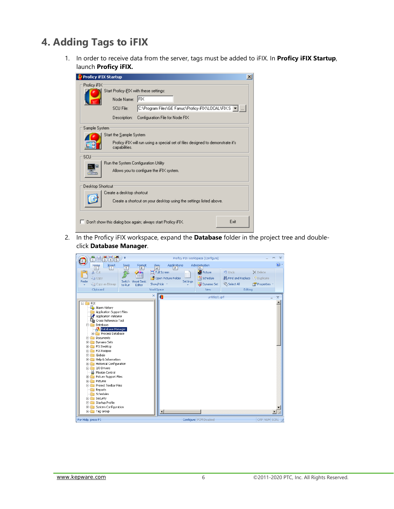## **4. Adding Tags to iFIX**

1. In order to receive data from the server, tags must be added to iFIX. In **Proficy iFIX Startup**, launch **Proficy iFIX.**

| Proficy iFIX Startup<br>×                                                                                                                                                                                          |  |  |  |  |  |  |  |
|--------------------------------------------------------------------------------------------------------------------------------------------------------------------------------------------------------------------|--|--|--|--|--|--|--|
| Proficy iFIX<br>Start Proficy iEIX with these settings:<br>IFIX<br>Node Name:<br>C:\Program Files\GE Fanuc\Proficy iFIX\LOCAL\FIX.S   <del>-</del><br>SCU File:<br>Configuration File for Node FIX<br>Description: |  |  |  |  |  |  |  |
| Sample System<br>Start the Sample System<br>Proficy iFIX will run using a special set of files designed to demonstrate it's<br>capabilities.                                                                       |  |  |  |  |  |  |  |
| SCU<br>Run the System Configuration Utility<br>Allows you to configure the iFIX system.                                                                                                                            |  |  |  |  |  |  |  |
| Desktop Shortcut<br>Create a desktop shortcut<br>Create a shortcut on your desktop using the settings listed above.                                                                                                |  |  |  |  |  |  |  |
| Exit<br>Don't show this dialog box again; always start Proficy iFIX.                                                                                                                                               |  |  |  |  |  |  |  |

2. In the Proficy iFIX workspace, expand the **Database** folder in the project tree and doubleclick **Database Manager**.

| $\frac{1}{1}$ $\frac{1}{2}$ $\frac{1}{3}$ $\frac{1}{4}$ $\frac{1}{5}$<br>÷<br>F                                                                                                                                                                                                                                                                                                                                                                                                                                                                                                                    | Proficy iFIX WorkSpace (Configure)                                                                                                                    | $\mathbf{x}$<br>$\blacksquare$                                                                |
|----------------------------------------------------------------------------------------------------------------------------------------------------------------------------------------------------------------------------------------------------------------------------------------------------------------------------------------------------------------------------------------------------------------------------------------------------------------------------------------------------------------------------------------------------------------------------------------------------|-------------------------------------------------------------------------------------------------------------------------------------------------------|-----------------------------------------------------------------------------------------------|
| Home<br>Insert<br>Format<br>們<br>H<br>$\mathbb{L}$<br>$\mathsf R$                                                                                                                                                                                                                                                                                                                                                                                                                                                                                                                                  | Administration<br>View<br>Applications<br>P<br>W<br>D                                                                                                 | $\circledcirc$                                                                                |
| & Cut<br>n<br><b>Lina Copy</b><br>Switch Visual Basic<br>Paste<br>Copy as Bitmap<br>Editor<br>to Run<br>Clipboard                                                                                                                                                                                                                                                                                                                                                                                                                                                                                  | <b>Picture</b><br>Le Undo<br>Full Screen<br>Open Picture Folder<br>Schedule<br>Settings<br>Poynamo Set<br>Select All<br>Show/Hide<br>WorkSpace<br>New | $\times$ Delete<br><b>A Find and Replace</b> $\frac{1}{2}$ Duplicate<br>Properties<br>Editing |
|                                                                                                                                                                                                                                                                                                                                                                                                                                                                                                                                                                                                    | $\boldsymbol{\times}$<br>e<br>untitled 1.arf                                                                                                          | $\mathbf x$                                                                                   |
| <b>FIX</b><br>$\boxminus$<br>Alarm History<br>Application Support Files<br>Application Validator<br>7<br>ြော Cross Reference Tool<br>Database<br>FH<br>Database Manager<br>Process Database<br>田<br>Documents<br>田<br>Dynamo Sets<br>田<br>FIX Desktop<br>由<br><b>FIX Recipes</b><br>田<br>Globals<br>审<br>Help & Information<br>匣<br>Historical Configuration<br>匣<br>I/O Drivers<br>田<br>Mission Control<br>Picture Support Files<br>田<br>Pictures<br>中<br>Project Toolbar Files<br>田<br>Reports<br>Schedules<br>Security<br>田<br>Startup Profile<br>田<br>System Configuration<br>田<br>E Tag Group | $\blacktriangleleft$                                                                                                                                  |                                                                                               |
| For Help, press F1                                                                                                                                                                                                                                                                                                                                                                                                                                                                                                                                                                                 | Configure PCM Disabled                                                                                                                                | CAP NUM SCRL                                                                                  |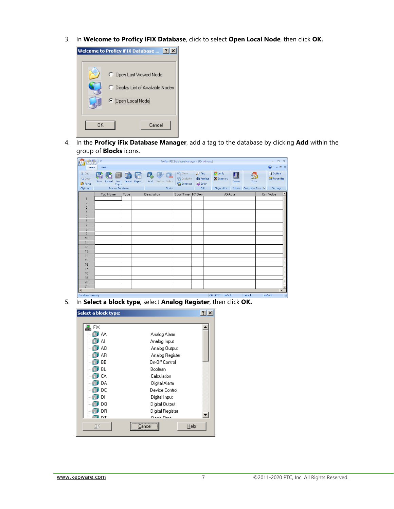3. In **Welcome to Proficy iFIX Database**, click to select **Open Local Node**, then click **OK.**



4. In the **Proficy iFix Database Manager**, add a tag to the database by clicking **Add** within the group of **Blocks** icons.

| ñM<br>(F                                  | ₩                                                     |      |                                 |                                                    | Proficy iFIX Database Manager - [FIX: 0 rows]        |                                                  |                    |                     |                              | $\mathbf{x}$<br>$\Box$<br>÷                |
|-------------------------------------------|-------------------------------------------------------|------|---------------------------------|----------------------------------------------------|------------------------------------------------------|--------------------------------------------------|--------------------|---------------------|------------------------------|--------------------------------------------|
| Home                                      | View                                                  |      |                                 |                                                    |                                                      |                                                  |                    |                     |                              | $= 0 x$<br>0                               |
| & Cut<br><b>Eg</b> Copy<br><b>B</b> Paste | τ<br>Œ<br>ш<br>कान<br>Reload<br>Save<br>Load<br>Empty |      | О.<br>5<br>Import Export<br>Add | $\overline{\mathbb{E}}$<br>$\Box$<br>Modify Delete | 23 Show<br><b>Co</b> Duplicate<br><b>Ca</b> Generate | $\bigcirc$ Find<br><b>A</b> Replace<br>ahl Go to | Verify<br>Summary  | H<br><b>Drivers</b> | Tools                        | <b>all</b> Options<br><b>Cy</b> Properties |
| Clipboard                                 | Process Database                                      |      |                                 | <b>Blocks</b>                                      |                                                      | Edit                                             | <b>Diagnostics</b> | <b>Drivers</b>      | Customize Tools <sup>5</sup> | Settings                                   |
|                                           | Tag Name                                              | Type | Description                     |                                                    | Scan Time                                            | VO Dev                                           |                    | I/O Addr            |                              | Curr Value<br>$\blacktriangle$             |
| 1                                         |                                                       |      |                                 |                                                    |                                                      |                                                  |                    |                     |                              |                                            |
| $\overline{c}$                            |                                                       |      |                                 |                                                    |                                                      |                                                  |                    |                     |                              |                                            |
| 3                                         |                                                       |      |                                 |                                                    |                                                      |                                                  |                    |                     |                              |                                            |
| $\overline{4}$                            |                                                       |      |                                 |                                                    |                                                      |                                                  |                    |                     |                              |                                            |
| 5                                         |                                                       |      |                                 |                                                    |                                                      |                                                  |                    |                     |                              |                                            |
| 6                                         |                                                       |      |                                 |                                                    |                                                      |                                                  |                    |                     |                              |                                            |
| $\overline{\mathcal{L}}$                  |                                                       |      |                                 |                                                    |                                                      |                                                  |                    |                     |                              |                                            |
| 8<br>9                                    |                                                       |      |                                 |                                                    |                                                      |                                                  |                    |                     |                              |                                            |
| 10                                        |                                                       |      |                                 |                                                    |                                                      |                                                  |                    |                     |                              |                                            |
| 11                                        |                                                       |      |                                 |                                                    |                                                      |                                                  |                    |                     |                              |                                            |
| 12                                        |                                                       |      |                                 |                                                    |                                                      |                                                  |                    |                     |                              |                                            |
| 13                                        |                                                       |      |                                 |                                                    |                                                      |                                                  |                    |                     |                              |                                            |
| 14                                        |                                                       |      |                                 |                                                    |                                                      |                                                  |                    |                     |                              |                                            |
| 15                                        |                                                       |      |                                 |                                                    |                                                      |                                                  |                    |                     |                              |                                            |
| 16                                        |                                                       |      |                                 |                                                    |                                                      |                                                  |                    |                     |                              |                                            |
| 17                                        |                                                       |      |                                 |                                                    |                                                      |                                                  |                    |                     |                              |                                            |
| 18                                        |                                                       |      |                                 |                                                    |                                                      |                                                  |                    |                     |                              |                                            |
| 19                                        |                                                       |      |                                 |                                                    |                                                      |                                                  |                    |                     |                              |                                            |
| 20                                        |                                                       |      |                                 |                                                    |                                                      |                                                  |                    |                     |                              |                                            |
| 21                                        |                                                       |      |                                 |                                                    |                                                      |                                                  |                    |                     |                              | $\overline{\phantom{a}}$                   |
| $\vert \cdot \vert$                       |                                                       |      |                                 |                                                    |                                                      |                                                  |                    |                     |                              | $\blacktriangleright$                      |
| Database is empty.                        |                                                       |      |                                 |                                                    |                                                      |                                                  | ON EDIT default    |                     | default                      | default<br>国                               |

5. In **Select a block type**, select **Analog Register**, then click **OK.**

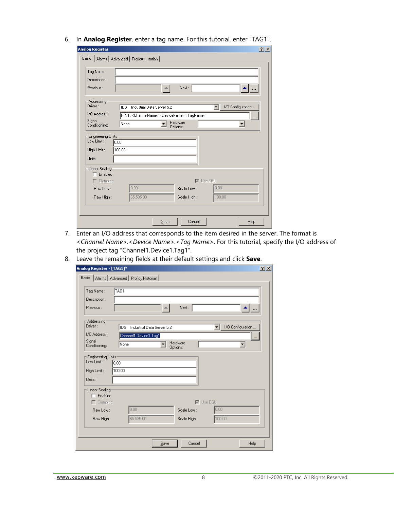6. In **Analog Register**, enter a tag name. For this tutorial, enter "TAG1".

| Description:              |                                          |                                                                                 |                  |                   |
|---------------------------|------------------------------------------|---------------------------------------------------------------------------------|------------------|-------------------|
| Previous:                 |                                          | Next:                                                                           |                  |                   |
| Addressing<br>Driver :    |                                          |                                                                                 |                  |                   |
| 1/0 Address :             | <b>IDS</b><br>Industrial Data Server 5.2 |                                                                                 | ▾╎               | 1/0 Configuration |
| Signal                    |                                          | HINT: <channelname>.<devicename>.<tagname></tagname></devicename></channelname> |                  | $\cdots$          |
| Conditioning:             | None                                     | Hardware<br>Options:                                                            |                  | ▾                 |
| <b>Engineering Units:</b> |                                          |                                                                                 |                  |                   |
| Low Limit:                | 0.00                                     |                                                                                 |                  |                   |
| High Limit:               | 100.00                                   |                                                                                 |                  |                   |
| Units:                    |                                          |                                                                                 |                  |                   |
| Linear Scaling            |                                          |                                                                                 |                  |                   |
|                           |                                          |                                                                                 |                  |                   |
| Enabled<br>⊓              |                                          |                                                                                 | $\nabla$ Use EGU |                   |
| $\Gamma$ Clamping         |                                          |                                                                                 |                  |                   |
| Raw Low:                  | 0.00<br>65,535.00                        | Scale Low:                                                                      | 0.00             |                   |

- 7. Enter an I/O address that corresponds to the item desired in the server. The format is *<Channel Name>.<Device Name>.<Tag Name>*. For this tutorial, specify the I/O address of the project tag "Channel1.Device1.Tag1".
- 8. Leave the remaining fields at their default settings and click **Save**.

| Analog Register - [TAG1]*        |                                       |                            |                         | $2$ $\times$ |
|----------------------------------|---------------------------------------|----------------------------|-------------------------|--------------|
| Basic                            | Alarms   Advanced   Proficy Historian |                            |                         |              |
|                                  |                                       |                            |                         |              |
| Tag Name:                        | TAG1                                  |                            |                         |              |
| Description:                     |                                       |                            |                         |              |
| Previous:                        |                                       | Next:                      |                         |              |
| Addressing<br>Driver:            |                                       |                            |                         |              |
|                                  | IDS.                                  | Industrial Data Server 5.2 | 1/0 Configuration<br>▾╎ |              |
| 1/0 Address:                     | Channel1.Device1.Tag1                 |                            |                         |              |
| Signal<br>Conditioning:          | None                                  | Hardware<br>۰<br>Options:  | ▼                       |              |
| Engineering Units-<br>Low Limit: | 0.00                                  |                            |                         |              |
| High Limit:                      | 100.00                                |                            |                         |              |
| Units:                           |                                       |                            |                         |              |
| Linear Scaling                   |                                       |                            |                         |              |
| Enabled                          |                                       |                            |                         |              |
| $\Gamma$ Clamping                |                                       |                            | $\nabla$ Use EGU        |              |
| Raw Low:                         | 0.00                                  | Scale Low:                 | 0.00                    |              |
| Raw High:                        | 65,535.00                             | Scale High:                | 100.00                  |              |
|                                  |                                       |                            |                         |              |
|                                  |                                       | Save<br>Cancel             | Help                    |              |